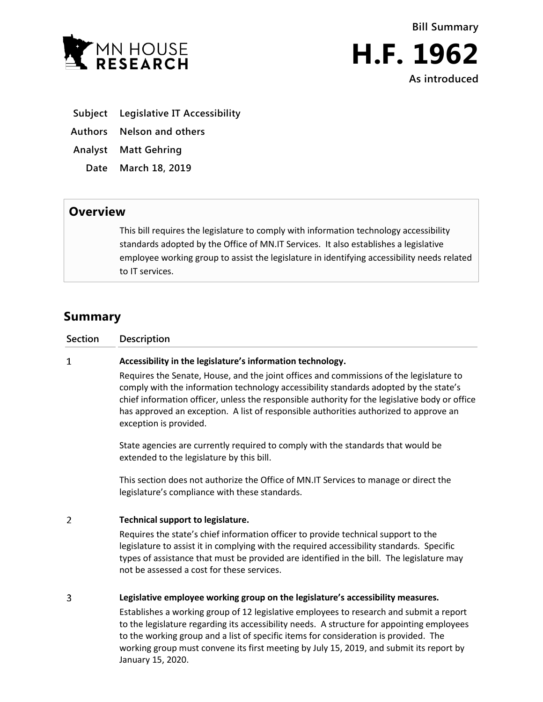



- **Subject Legislative IT Accessibility**
- **Authors Nelson and others**
- **Analyst Matt Gehring**
	- **Date March 18, 2019**

## **Overview**

This bill requires the legislature to comply with information technology accessibility standards adopted by the Office of MN.IT Services. It also establishes a legislative employee working group to assist the legislature in identifying accessibility needs related to IT services.

# **Summary**

#### $\mathbf{1}$ **Accessibility in the legislature's information technology.**

Requires the Senate, House, and the joint offices and commissions of the legislature to comply with the information technology accessibility standards adopted by the state's chief information officer, unless the responsible authority for the legislative body or office has approved an exception. A list of responsible authorities authorized to approve an exception is provided.

State agencies are currently required to comply with the standards that would be extended to the legislature by this bill.

This section does not authorize the Office of MN.IT Services to manage or direct the legislature's compliance with these standards.

#### $\overline{2}$ **Technical support to legislature.**

Requires the state's chief information officer to provide technical support to the legislature to assist it in complying with the required accessibility standards. Specific types of assistance that must be provided are identified in the bill. The legislature may not be assessed a cost for these services.

#### 3 **Legislative employee working group on the legislature's accessibility measures.**

Establishes a working group of 12 legislative employees to research and submit a report to the legislature regarding its accessibility needs. A structure for appointing employees to the working group and a list of specific items for consideration is provided. The working group must convene its first meeting by July 15, 2019, and submit its report by January 15, 2020.